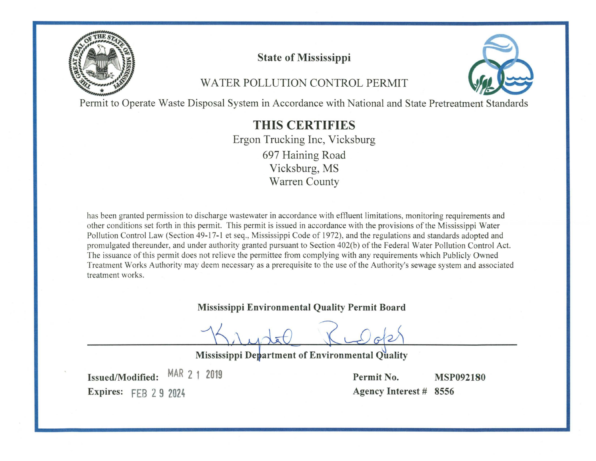

# **State of Mississippi**

# WATER POLLUTION CONTROL PERMIT



Permit to Operate Waste Disposal System in Accordance with National and State Pretreatment Standards

# **THIS CERTIFIES**

Ergon Trucking Inc, Vicksburg 697 Haining Road Vicksburg, MS **Warren County** 

has been granted permission to discharge wastewater in accordance with effluent limitations, monitoring requirements and other conditions set forth in this permit. This permit is issued in accordance with the provisions of the Mississippi Water Pollution Control Law (Section 49-17-1 et seq., Mississippi Code of 1972), and the regulations and standards adopted and promulgated thereunder, and under authority granted pursuant to Section 402(b) of the Federal Water Pollution Control Act. The issuance of this permit does not relieve the permittee from complying with any requirements which Publicly Owned Treatment Works Authority may deem necessary as a prerequisite to the use of the Authority's sewage system and associated treatment works.

#### Mississippi Environmental Quality Permit Board

Mississippi Department of Environmental Quality

MAR 2 1 2019 **Issued/Modified: Expires: FEB 2 9 2024** 

Permit No. **MSP092180** Agency Interest # 8556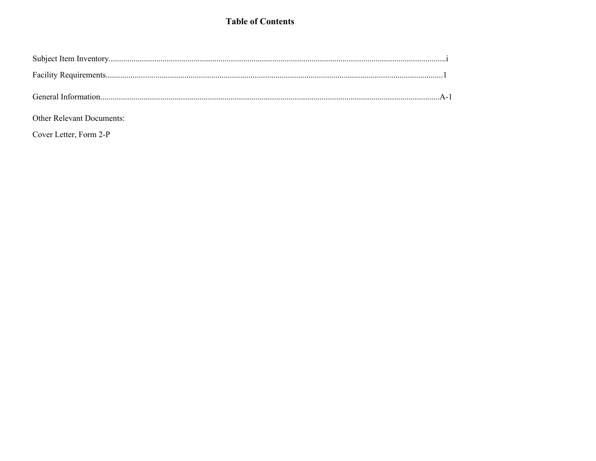### **Table of Contents**

Other Relevant Documents:

Cover Letter, Form 2-P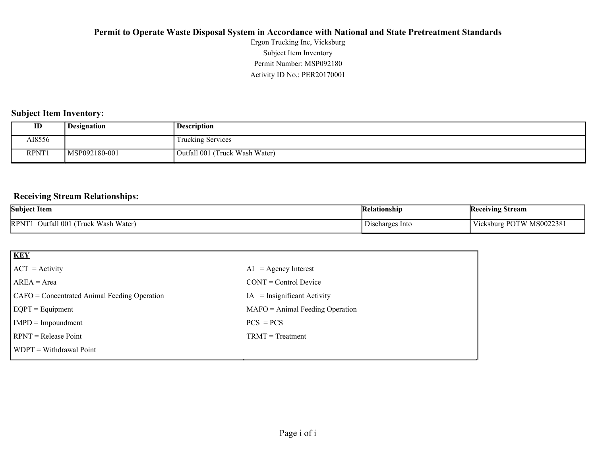Activity ID No.: PER20170001 Permit Number: MSP092180 Subject Item Inventory Ergon Trucking Inc, Vicksburg

#### **Subject Item Inventory:**

| ID     | <b>Designation</b> | <b>Description</b>                |
|--------|--------------------|-----------------------------------|
| AI8556 |                    | Trucking Services                 |
| RPNT1  | MSP092180-001      | (Truck Wash Water)<br>Outfall 001 |

#### **Receiving Stream Relationships:**

| <b>Subject Item</b>                                                   | Kelationship              | <b>Receiving Stream</b>                                       |
|-----------------------------------------------------------------------|---------------------------|---------------------------------------------------------------|
| Water,<br>· Wash<br>Outfall 001<br><b>RPNT</b><br>$\sqrt{2}$<br>Truck | $\sim$<br>Discharges Into | MS002238<br>$- -$<br><b>POTW</b><br>lcksbur ہ<br>$\mathbf{v}$ |

| <b>KEY</b>                                   |                                   |
|----------------------------------------------|-----------------------------------|
| $ ACT = Activity$                            | $AI = Agency Interest$            |
| $AREA = Area$                                | $CONT = Control$ Device           |
| CAFO = Concentrated Animal Feeding Operation | $=$ Insignificant Activity<br>IA  |
| $EQPT = Equipment$                           | $MAFO = Animal Feeding Operation$ |
| $IMPD = Important$                           | $PCS = PCs$                       |
| $\text{RPNT} = \text{Release Point}$         | $TRMT = Treatment$                |
| $WDPT = Without$ withdrawal Point            |                                   |
|                                              |                                   |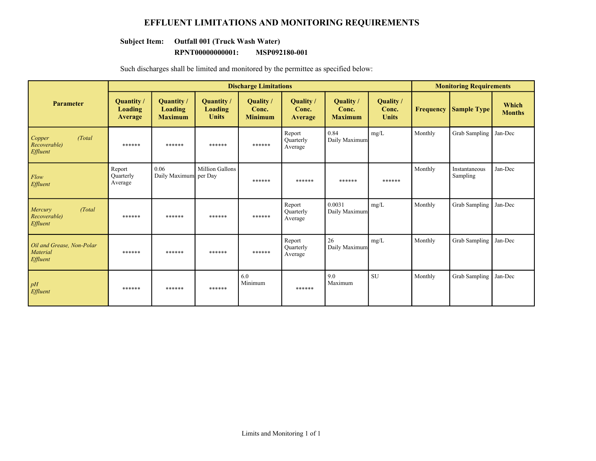#### **EFFLUENT LIMITATIONS AND MONITORING REQUIREMENTS**

#### **Subject Item: Outfall 001 (Truck Wash Water)**

#### **RPNT00000000001: MSP092180-001**

Such discharges shall be limited and monitored by the permittee as specified below:

|                                                          | <b>Discharge Limitations</b>    |                                                |                                       |                                      |                                |                                      |                                    | <b>Monitoring Requirements</b> |                           |                        |
|----------------------------------------------------------|---------------------------------|------------------------------------------------|---------------------------------------|--------------------------------------|--------------------------------|--------------------------------------|------------------------------------|--------------------------------|---------------------------|------------------------|
| <b>Parameter</b>                                         | Quantity/<br>Loading<br>Average | Quantity /<br><b>Loading</b><br><b>Maximum</b> | Quantity /<br>Loading<br><b>Units</b> | Quality /<br>Conc.<br><b>Minimum</b> | Quality /<br>Conc.<br>Average  | Quality /<br>Conc.<br><b>Maximum</b> | Quality /<br>Conc.<br><b>Units</b> | <b>Frequency</b>               | <b>Sample Type</b>        | Which<br><b>Months</b> |
| Copper<br>(Total)<br>Recoverable)<br>Effluent            | ******                          | ******                                         | ******                                | ******                               | Report<br>Ouarterly<br>Average | 0.84<br>Daily Maximum                | mg/L                               | Monthly                        | Grab Sampling             | Jan-Dec                |
| Flow<br>Effluent                                         | Report<br>Quarterly<br>Average  | 0.06<br>Daily Maximum per Day                  | Million Gallons                       | ******                               | ******                         | ******                               | ******                             | Monthly                        | Instantaneous<br>Sampling | Jan-Dec                |
| Mercury<br>(Total)<br>Recoverable)<br>Effluent           | ******                          | ******                                         | ******                                | ******                               | Report<br>Ouarterly<br>Average | 0.0031<br>Daily Maximum              | mg/L                               | Monthly                        | Grab Sampling             | Jan-Dec                |
| Oil and Grease, Non-Polar<br><b>Material</b><br>Effluent | ******                          | ******                                         | ******                                | ******                               | Report<br>Quarterly<br>Average | 26<br>Daily Maximum                  | mg/L                               | Monthly                        | Grab Sampling             | Jan-Dec                |
| pH<br>Effluent                                           | ******                          | ******                                         | ******                                | 6.0<br>Minimum                       | ******                         | 9.0<br>Maximum                       | <b>SU</b>                          | Monthly                        | Grab Sampling             | Jan-Dec                |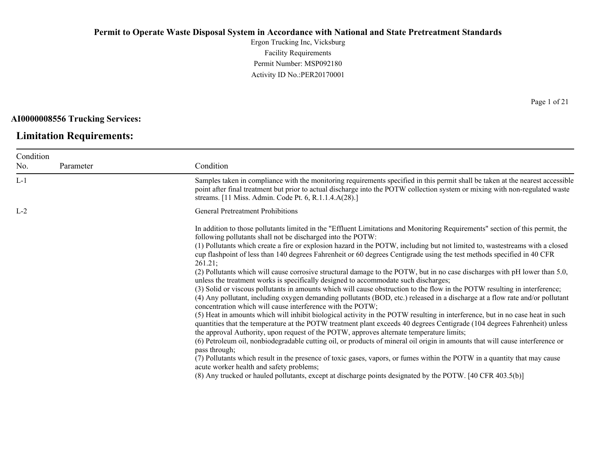Ergon Trucking Inc, Vicksburg Facility Requirements Permit Number: MSP092180 Activity ID No.:PER20170001

**AI0000008556 Trucking Services:**

### **Limitation Requirements:**

Condition No. Parameter Condition L-1 Samples taken in compliance with the monitoring requirements specified in this permit shall be taken at the nearest accessible point after final treatment but prior to actual discharge into the POTW collection system or mixing with non-regulated waste streams. [11 Miss. Admin. Code Pt. 6, R.1.1.4.A(28).] L-2 General Pretreatment Prohibitions In addition to those pollutants limited in the "Effluent Limitations and Monitoring Requirements" section of this permit, the following pollutants shall not be discharged into the POTW: (1) Pollutants which create a fire or explosion hazard in the POTW, including but not limited to, wastestreams with a closed cup flashpoint of less than 140 degrees Fahrenheit or 60 degrees Centigrade using the test methods specified in 40 CFR 261.21; (2) Pollutants which will cause corrosive structural damage to the POTW, but in no case discharges with pH lower than 5.0, unless the treatment works is specifically designed to accommodate such discharges; (3) Solid or viscous pollutants in amounts which will cause obstruction to the flow in the POTW resulting in interference; (4) Any pollutant, including oxygen demanding pollutants (BOD, etc.) released in a discharge at a flow rate and/or pollutant concentration which will cause interference with the POTW; (5) Heat in amounts which will inhibit biological activity in the POTW resulting in interference, but in no case heat in such quantities that the temperature at the POTW treatment plant exceeds 40 degrees Centigrade (104 degrees Fahrenheit) unless the approval Authority, upon request of the POTW, approves alternate temperature limits; (6) Petroleum oil, nonbiodegradable cutting oil, or products of mineral oil origin in amounts that will cause interference or pass through; (7) Pollutants which result in the presence of toxic gases, vapors, or fumes within the POTW in a quantity that may cause acute worker health and safety problems; (8) Any trucked or hauled pollutants, except at discharge points designated by the POTW. [40 CFR 403.5(b)]

Page 1 of 21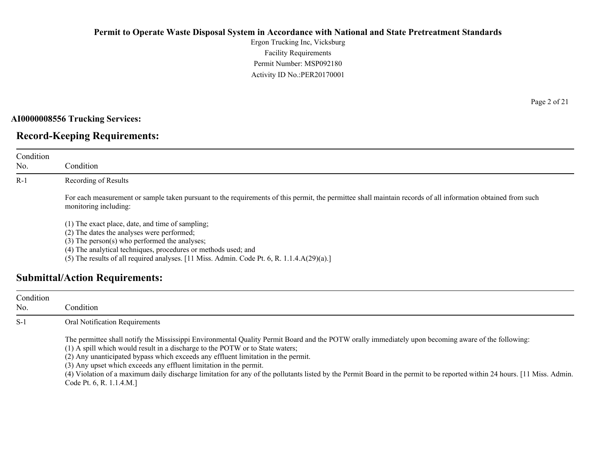Ergon Trucking Inc, Vicksburg Facility Requirements Permit Number: MSP092180 Activity ID No.:PER20170001

#### **AI0000008556 Trucking Services:**

# **Record-Keeping Requirements:**

| Condition<br>No. | Condition                                                                                                                                                                                                                                                                                                                                                      |
|------------------|----------------------------------------------------------------------------------------------------------------------------------------------------------------------------------------------------------------------------------------------------------------------------------------------------------------------------------------------------------------|
| $R-1$            | Recording of Results                                                                                                                                                                                                                                                                                                                                           |
|                  | For each measurement or sample taken pursuant to the requirements of this permit, the permittee shall maintain records of all information obtained from such<br>monitoring including:                                                                                                                                                                          |
|                  | (1) The exact place, date, and time of sampling;<br>(2) The dates the analyses were performed;<br>$(3)$ The person $(s)$ who performed the analyses;<br>(4) The analytical techniques, procedures or methods used; and<br>(5) The results of all required analyses. $[11 \text{ Miss. } \text{Admin. } \text{Code Pt. } 6, \text{R. } 1.1.4 \text{A}(29)(a).]$ |
|                  | <b>Submittal/Action Requirements:</b>                                                                                                                                                                                                                                                                                                                          |

| Condition<br>No. | Condition :                                                                                                                                                                                                                                                                                                                                                                                                                                                                                                                                                                                               |
|------------------|-----------------------------------------------------------------------------------------------------------------------------------------------------------------------------------------------------------------------------------------------------------------------------------------------------------------------------------------------------------------------------------------------------------------------------------------------------------------------------------------------------------------------------------------------------------------------------------------------------------|
| $S-1$            | Oral Notification Requirements                                                                                                                                                                                                                                                                                                                                                                                                                                                                                                                                                                            |
|                  | The permittee shall notify the Mississippi Environmental Quality Permit Board and the POTW orally immediately upon becoming aware of the following:<br>(1) A spill which would result in a discharge to the POTW or to State waters;<br>(2) Any unanticipated bypass which exceeds any effluent limitation in the permit.<br>(3) Any upset which exceeds any effluent limitation in the permit.<br>(4) Violation of a maximum daily discharge limitation for any of the pollutants listed by the Permit Board in the permit to be reported within 24 hours. [11 Miss. Admin.]<br>Code Pt. 6, R. 1.1.4.M.] |

Page 2 of 21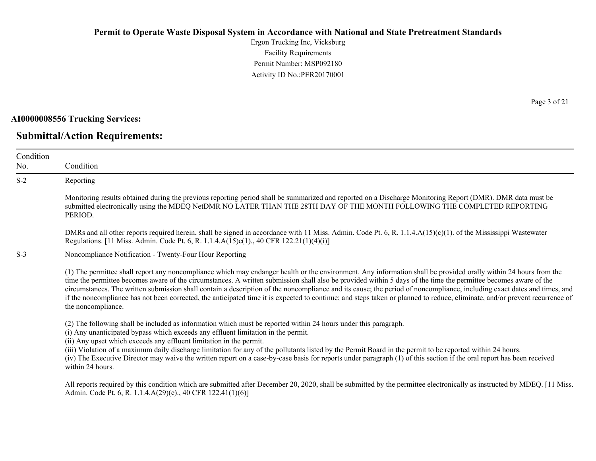Ergon Trucking Inc, Vicksburg Facility Requirements Permit Number: MSP092180 Activity ID No.:PER20170001

**AI0000008556 Trucking Services:**

No.

### **Submittal/Action Requirements:**

Condition Condition S-2 Reporting Monitoring results obtained during the previous reporting period shall be summarized and reported on a Discharge Monitoring Report (DMR). DMR data must be submitted electronically using the MDEQ NetDMR NO LATER THAN THE 28TH DAY OF THE MONTH FOLLOWING THE COMPLETED REPORTING PERIOD. DMRs and all other reports required herein, shall be signed in accordance with 11 Miss. Admin. Code Pt. 6, R. 1.1.4.A(15)(c)(1). of the Mississippi Wastewater Regulations. [11 Miss. Admin. Code Pt. 6, R. 1.1.4.A(15)c(1)., 40 CFR 122.21(1)(4)(i)] S-3 Noncompliance Notification - Twenty-Four Hour Reporting (1) The permittee shall report any noncompliance which may endanger health or the environment. Any information shall be provided orally within 24 hours from the time the permittee becomes aware of the circumstances. A written submission shall also be provided within 5 days of the time the permittee becomes aware of the circumstances. The written submission shall contain a description of the noncompliance and its cause; the period of noncompliance, including exact dates and times, and if the noncompliance has not been corrected, the anticipated time it is expected to continue; and steps taken or planned to reduce, eliminate, and/or prevent recurrence of the noncompliance. (2) The following shall be included as information which must be reported within 24 hours under this paragraph. (i) Any unanticipated bypass which exceeds any effluent limitation in the permit. (ii) Any upset which exceeds any effluent limitation in the permit. (iii) Violation of a maximum daily discharge limitation for any of the pollutants listed by the Permit Board in the permit to be reported within 24 hours. (iv) The Executive Director may waive the written report on a case-by-case basis for reports under paragraph (1) of this section if the oral report has been received within 24 hours.

All reports required by this condition which are submitted after December 20, 2020, shall be submitted by the permittee electronically as instructed by MDEQ. [11 Miss.] Admin. Code Pt. 6, R. 1.1.4.A(29)(e)., 40 CFR 122.41(1)(6)]

Page 3 of 21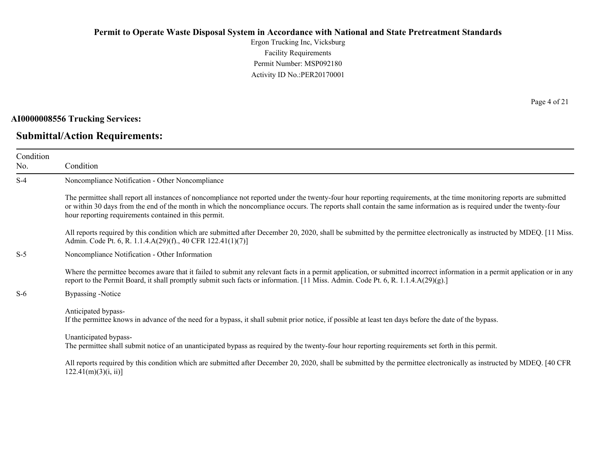Ergon Trucking Inc, Vicksburg Facility Requirements Permit Number: MSP092180 Activity ID No.:PER20170001

#### **AI0000008556 Trucking Services:**

# **Submittal/Action Requirements:**

Page 4 of 21

| Condition<br>No. | Condition                                                                                                                                                                                                                                                                                                                                                                                             |
|------------------|-------------------------------------------------------------------------------------------------------------------------------------------------------------------------------------------------------------------------------------------------------------------------------------------------------------------------------------------------------------------------------------------------------|
| $S-4$            | Noncompliance Notification - Other Noncompliance                                                                                                                                                                                                                                                                                                                                                      |
|                  | The permittee shall report all instances of noncompliance not reported under the twenty-four hour reporting requirements, at the time monitoring reports are submitted<br>or within 30 days from the end of the month in which the noncompliance occurs. The reports shall contain the same information as is required under the twenty-four<br>hour reporting requirements contained in this permit. |
|                  | All reports required by this condition which are submitted after December 20, 2020, shall be submitted by the permittee electronically as instructed by MDEQ. [11 Miss.]<br>Admin. Code Pt. 6, R. 1.1.4.A(29)(f)., 40 CFR 122.41(1)(7)]                                                                                                                                                               |
| $S-5$            | Noncompliance Notification - Other Information                                                                                                                                                                                                                                                                                                                                                        |
|                  | Where the permittee becomes aware that it failed to submit any relevant facts in a permit application, or submitted incorrect information in a permit application or in any<br>report to the Permit Board, it shall promptly submit such facts or information. [11 Miss. Admin. Code Pt. 6, R. 1.1.4.A(29)(g).]                                                                                       |
| $S-6$            | <b>Bypassing -Notice</b>                                                                                                                                                                                                                                                                                                                                                                              |
|                  | Anticipated bypass-<br>If the permittee knows in advance of the need for a bypass, it shall submit prior notice, if possible at least ten days before the date of the bypass.                                                                                                                                                                                                                         |
|                  | Unanticipated bypass-<br>The permittee shall submit notice of an unanticipated bypass as required by the twenty-four hour reporting requirements set forth in this permit.                                                                                                                                                                                                                            |
|                  | All reports required by this condition which are submitted after December 20, 2020, shall be submitted by the permittee electronically as instructed by MDEQ. [40 CFR<br>$122.41(m)(3)(i, ii)$ ]                                                                                                                                                                                                      |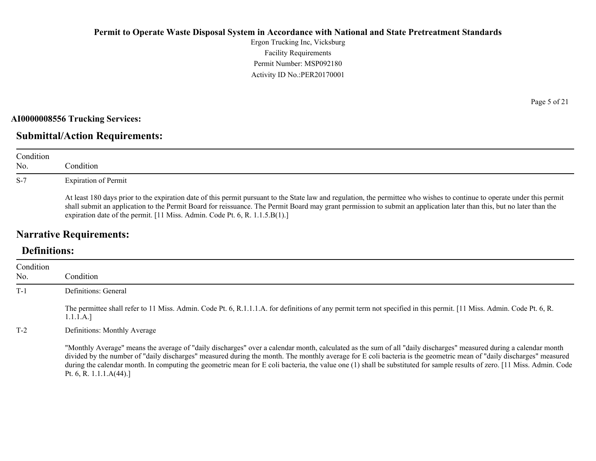Ergon Trucking Inc, Vicksburg Facility Requirements Permit Number: MSP092180 Activity ID No.:PER20170001

#### **AI0000008556 Trucking Services:**

# **Submittal/Action Requirements:**

| Condition<br>No. | Condition                                                                                                                                                                                                                                                                                                                                                                                                                         |
|------------------|-----------------------------------------------------------------------------------------------------------------------------------------------------------------------------------------------------------------------------------------------------------------------------------------------------------------------------------------------------------------------------------------------------------------------------------|
| $S-7$            | <b>Expiration of Permit</b>                                                                                                                                                                                                                                                                                                                                                                                                       |
|                  | At least 180 days prior to the expiration date of this permit pursuant to the State law and regulation, the permittee who wishes to continue to operate under this permit<br>shall submit an application to the Permit Board for reissuance. The Permit Board may grant permission to submit an application later than this, but no later than the<br>expiration date of the permit. [11 Miss. Admin. Code Pt. 6, R. 1.1.5.B(1).] |

# **Narrative Requirements:**

# **Definitions:**

| Condition<br>No. | Condition                                                                                                                                                                                                                                                                                                                                                                                                                                                                                                                                           |
|------------------|-----------------------------------------------------------------------------------------------------------------------------------------------------------------------------------------------------------------------------------------------------------------------------------------------------------------------------------------------------------------------------------------------------------------------------------------------------------------------------------------------------------------------------------------------------|
| $T-1$            | Definitions: General                                                                                                                                                                                                                                                                                                                                                                                                                                                                                                                                |
|                  | The permittee shall refer to 11 Miss. Admin. Code Pt. 6, R.1.1.1.A. for definitions of any permit term not specified in this permit. [11 Miss. Admin. Code Pt. 6, R.<br>1.1.1.A.]                                                                                                                                                                                                                                                                                                                                                                   |
| $T-2$            | Definitions: Monthly Average                                                                                                                                                                                                                                                                                                                                                                                                                                                                                                                        |
|                  | "Monthly Average" means the average of "daily discharges" over a calendar month, calculated as the sum of all "daily discharges" measured during a calendar month<br>divided by the number of "daily discharges" measured during the month. The monthly average for E coli bacteria is the geometric mean of "daily discharges" measured<br>during the calendar month. In computing the geometric mean for E coli bacteria, the value one (1) shall be substituted for sample results of zero. [11 Miss. Admin. Code<br>Pt. 6, R. 1.1.1. $A(44)$ .] |

Page 5 of 21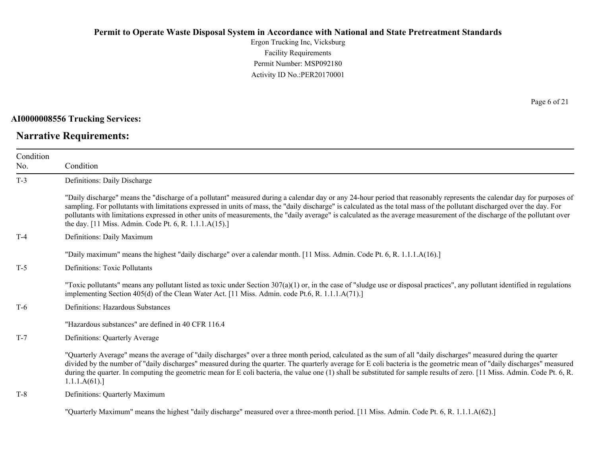Ergon Trucking Inc, Vicksburg Facility Requirements Permit Number: MSP092180 Activity ID No.:PER20170001

#### **AI0000008556 Trucking Services:**

# **Narrative Requirements:**

Page 6 of 21

| Condition<br>No. | Condition                                                                                                                                                                                                                                                                                                                                                                                                                                                                                                                                                                                   |
|------------------|---------------------------------------------------------------------------------------------------------------------------------------------------------------------------------------------------------------------------------------------------------------------------------------------------------------------------------------------------------------------------------------------------------------------------------------------------------------------------------------------------------------------------------------------------------------------------------------------|
| $T-3$            | Definitions: Daily Discharge                                                                                                                                                                                                                                                                                                                                                                                                                                                                                                                                                                |
|                  | "Daily discharge" means the "discharge of a pollutant" measured during a calendar day or any 24-hour period that reasonably represents the calendar day for purposes of<br>sampling. For pollutants with limitations expressed in units of mass, the "daily discharge" is calculated as the total mass of the pollutant discharged over the day. For<br>pollutants with limitations expressed in other units of measurements, the "daily average" is calculated as the average measurement of the discharge of the pollutant over<br>the day. [11 Miss. Admin. Code Pt. 6, R. 1.1.1.A(15).] |
| $T-4$            | Definitions: Daily Maximum                                                                                                                                                                                                                                                                                                                                                                                                                                                                                                                                                                  |
|                  | "Daily maximum" means the highest "daily discharge" over a calendar month. [11 Miss. Admin. Code Pt. 6, R. 1.1.1.A(16).]                                                                                                                                                                                                                                                                                                                                                                                                                                                                    |
| $T-5$            | <b>Definitions: Toxic Pollutants</b>                                                                                                                                                                                                                                                                                                                                                                                                                                                                                                                                                        |
|                  | "Toxic pollutants" means any pollutant listed as toxic under Section $307(a)(1)$ or, in the case of "sludge use or disposal practices", any pollutant identified in regulations<br>implementing Section 405(d) of the Clean Water Act. [11 Miss. Admin. code Pt.6, R. 1.1.1.A(71).]                                                                                                                                                                                                                                                                                                         |
| $T-6$            | Definitions: Hazardous Substances                                                                                                                                                                                                                                                                                                                                                                                                                                                                                                                                                           |
|                  | "Hazardous substances" are defined in 40 CFR 116.4                                                                                                                                                                                                                                                                                                                                                                                                                                                                                                                                          |
| $T-7$            | Definitions: Quarterly Average                                                                                                                                                                                                                                                                                                                                                                                                                                                                                                                                                              |
|                  | "Quarterly Average" means the average of "daily discharges" over a three month period, calculated as the sum of all "daily discharges" measured during the quarter<br>divided by the number of "daily discharges" measured during the quarter. The quarterly average for E coli bacteria is the geometric mean of "daily discharges" measured<br>during the quarter. In computing the geometric mean for E coli bacteria, the value one (1) shall be substituted for sample results of zero. [11 Miss. Admin. Code Pt. 6, R.<br>1.1.1.A(61).                                                |
| $T-8$            | Definitions: Quarterly Maximum                                                                                                                                                                                                                                                                                                                                                                                                                                                                                                                                                              |
|                  |                                                                                                                                                                                                                                                                                                                                                                                                                                                                                                                                                                                             |

"Quarterly Maximum" means the highest "daily discharge" measured over a three-month period. [11 Miss. Admin. Code Pt. 6, R. 1.1.1.A(62).]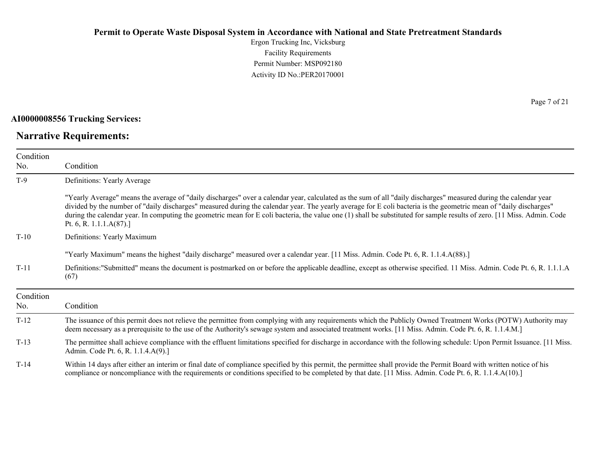Ergon Trucking Inc, Vicksburg Facility Requirements Permit Number: MSP092180 Activity ID No.:PER20170001

#### **AI0000008556 Trucking Services:**

# **Narrative Requirements:**

Page 7 of 21

| Condition<br>No. | Condition                                                                                                                                                                                                                                                                                                                                                                                                                                                                                                                                       |
|------------------|-------------------------------------------------------------------------------------------------------------------------------------------------------------------------------------------------------------------------------------------------------------------------------------------------------------------------------------------------------------------------------------------------------------------------------------------------------------------------------------------------------------------------------------------------|
| $T-9$            | Definitions: Yearly Average                                                                                                                                                                                                                                                                                                                                                                                                                                                                                                                     |
|                  | "Yearly Average" means the average of "daily discharges" over a calendar year, calculated as the sum of all "daily discharges" measured during the calendar year<br>divided by the number of "daily discharges" measured during the calendar year. The yearly average for E coli bacteria is the geometric mean of "daily discharges"<br>during the calendar year. In computing the geometric mean for E coli bacteria, the value one (1) shall be substituted for sample results of zero. [11 Miss. Admin. Code<br>Pt. 6, R. 1.1.1. $A(87)$ .] |
| $T-10$           | Definitions: Yearly Maximum                                                                                                                                                                                                                                                                                                                                                                                                                                                                                                                     |
|                  | "Yearly Maximum" means the highest "daily discharge" measured over a calendar year. [11 Miss. Admin. Code Pt. 6, R. 1.1.4.A(88).]                                                                                                                                                                                                                                                                                                                                                                                                               |
| $T-11$           | Definitions: "Submitted" means the document is postmarked on or before the applicable deadline, except as otherwise specified. 11 Miss. Admin. Code Pt. 6, R. 1.1.1.A<br>(67)                                                                                                                                                                                                                                                                                                                                                                   |
| Condition<br>No. | Condition                                                                                                                                                                                                                                                                                                                                                                                                                                                                                                                                       |
| $T-12$           | The issuance of this permit does not relieve the permittee from complying with any requirements which the Publicly Owned Treatment Works (POTW) Authority may<br>deem necessary as a prerequisite to the use of the Authority's sewage system and associated treatment works. [11 Miss. Admin. Code Pt. 6, R. 1.1.4.M.]                                                                                                                                                                                                                         |
| $T-13$           | The permittee shall achieve compliance with the effluent limitations specified for discharge in accordance with the following schedule: Upon Permit Issuance. [11 Miss.]<br>Admin. Code Pt. 6, R. 1.1.4.A(9).]                                                                                                                                                                                                                                                                                                                                  |
| $T-14$           | Within 14 days after either an interim or final date of compliance specified by this permit, the permittee shall provide the Permit Board with written notice of his<br>compliance or noncompliance with the requirements or conditions specified to be completed by that date. [11 Miss. Admin. Code Pt. 6, R. 1.1.4.A(10).]                                                                                                                                                                                                                   |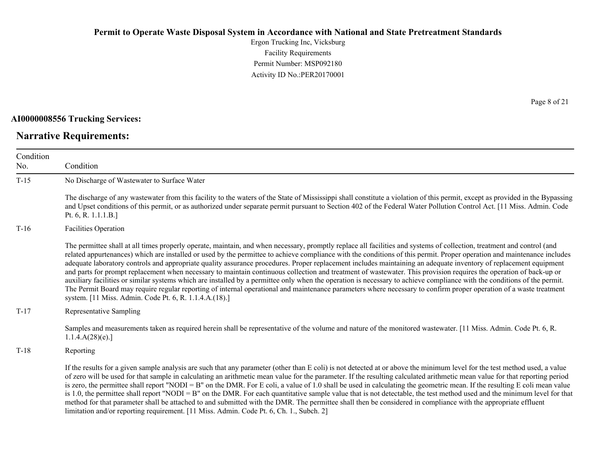Ergon Trucking Inc, Vicksburg Facility Requirements Permit Number: MSP092180 Activity ID No.:PER20170001

#### **AI0000008556 Trucking Services:**

# **Narrative Requirements:**

Page 8 of 21

| Condition<br>No. | Condition                                                                                                                                                                                                                                                                                                                                                                                                                                                                                                                                                                                                                                                                                                                                                                                                                                                                                                                                                                                                                                                                                                |  |
|------------------|----------------------------------------------------------------------------------------------------------------------------------------------------------------------------------------------------------------------------------------------------------------------------------------------------------------------------------------------------------------------------------------------------------------------------------------------------------------------------------------------------------------------------------------------------------------------------------------------------------------------------------------------------------------------------------------------------------------------------------------------------------------------------------------------------------------------------------------------------------------------------------------------------------------------------------------------------------------------------------------------------------------------------------------------------------------------------------------------------------|--|
| $T-15$           | No Discharge of Wastewater to Surface Water                                                                                                                                                                                                                                                                                                                                                                                                                                                                                                                                                                                                                                                                                                                                                                                                                                                                                                                                                                                                                                                              |  |
|                  | The discharge of any wastewater from this facility to the waters of the State of Mississippi shall constitute a violation of this permit, except as provided in the Bypassing<br>and Upset conditions of this permit, or as authorized under separate permit pursuant to Section 402 of the Federal Water Pollution Control Act. [11 Miss. Admin. Code<br>Pt. 6, R. $1.1.1.B.$                                                                                                                                                                                                                                                                                                                                                                                                                                                                                                                                                                                                                                                                                                                           |  |
| $T-16$           | <b>Facilities Operation</b>                                                                                                                                                                                                                                                                                                                                                                                                                                                                                                                                                                                                                                                                                                                                                                                                                                                                                                                                                                                                                                                                              |  |
|                  | The permittee shall at all times properly operate, maintain, and when necessary, promptly replace all facilities and systems of collection, treatment and control (and<br>related appurtenances) which are installed or used by the permittee to achieve compliance with the conditions of this permit. Proper operation and maintenance includes<br>adequate laboratory controls and appropriate quality assurance procedures. Proper replacement includes maintaining an adequate inventory of replacement equipment<br>and parts for prompt replacement when necessary to maintain continuous collection and treatment of wastewater. This provision requires the operation of back-up or<br>auxiliary facilities or similar systems which are installed by a permittee only when the operation is necessary to achieve compliance with the conditions of the permit.<br>The Permit Board may require regular reporting of internal operational and maintenance parameters where necessary to confirm proper operation of a waste treatment<br>system. [11 Miss. Admin. Code Pt. 6, R. 1.1.4.A.(18).] |  |
| $T-17$           | Representative Sampling                                                                                                                                                                                                                                                                                                                                                                                                                                                                                                                                                                                                                                                                                                                                                                                                                                                                                                                                                                                                                                                                                  |  |
|                  | Samples and measurements taken as required herein shall be representative of the volume and nature of the monitored wastewater. [11 Miss. Admin. Code Pt. 6, R.<br>1.1.4.A(28)(e).                                                                                                                                                                                                                                                                                                                                                                                                                                                                                                                                                                                                                                                                                                                                                                                                                                                                                                                       |  |
| $T-18$           | Reporting                                                                                                                                                                                                                                                                                                                                                                                                                                                                                                                                                                                                                                                                                                                                                                                                                                                                                                                                                                                                                                                                                                |  |
|                  | If the results for a given sample analysis are such that any parameter (other than E coli) is not detected at or above the minimum level for the test method used, a value<br>of zero will be used for that sample in calculating an arithmetic mean value for the parameter. If the resulting calculated arithmetic mean value for that reporting period<br>is zero, the permittee shall report "NODI = B" on the DMR. For E coli, a value of 1.0 shall be used in calculating the geometric mean. If the resulting E coli mean value<br>is 1.0, the permittee shall report "NODI = B" on the DMR. For each quantitative sample value that is not detectable, the test method used and the minimum level for that<br>method for that parameter shall be attached to and submitted with the DMR. The permittee shall then be considered in compliance with the appropriate effluent<br>limitation and/or reporting requirement. [11 Miss. Admin. Code Pt. 6, Ch. 1., Subch. 2]                                                                                                                           |  |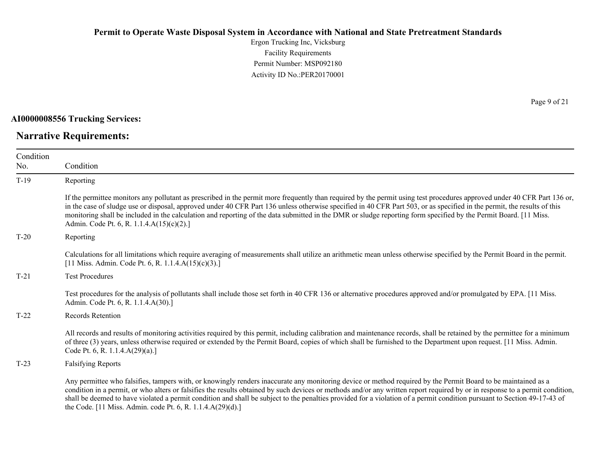Ergon Trucking Inc, Vicksburg Facility Requirements Permit Number: MSP092180 Activity ID No.:PER20170001

**AI0000008556 Trucking Services:**

# **Narrative Requirements:**

Page 9 of 21

| Condition |                                                                                                                                                                                                                                                                                                                                                                                                                                                                                                                                                                                          |
|-----------|------------------------------------------------------------------------------------------------------------------------------------------------------------------------------------------------------------------------------------------------------------------------------------------------------------------------------------------------------------------------------------------------------------------------------------------------------------------------------------------------------------------------------------------------------------------------------------------|
| No.       | Condition                                                                                                                                                                                                                                                                                                                                                                                                                                                                                                                                                                                |
| $T-19$    | Reporting                                                                                                                                                                                                                                                                                                                                                                                                                                                                                                                                                                                |
|           | If the permittee monitors any pollutant as prescribed in the permit more frequently than required by the permit using test procedures approved under 40 CFR Part 136 or,<br>in the case of sludge use or disposal, approved under 40 CFR Part 136 unless otherwise specified in 40 CFR Part 503, or as specified in the permit, the results of this<br>monitoring shall be included in the calculation and reporting of the data submitted in the DMR or sludge reporting form specified by the Permit Board. [11 Miss.]<br>Admin. Code Pt. 6, R. 1.1.4.A(15)(c)(2).]                    |
| $T-20$    | Reporting                                                                                                                                                                                                                                                                                                                                                                                                                                                                                                                                                                                |
|           | Calculations for all limitations which require averaging of measurements shall utilize an arithmetic mean unless otherwise specified by the Permit Board in the permit.<br>[11 Miss. Admin. Code Pt. 6, R. 1.1.4. $A(15)(c)(3)$ .]                                                                                                                                                                                                                                                                                                                                                       |
| $T-21$    | <b>Test Procedures</b>                                                                                                                                                                                                                                                                                                                                                                                                                                                                                                                                                                   |
|           | Test procedures for the analysis of pollutants shall include those set forth in 40 CFR 136 or alternative procedures approved and/or promulgated by EPA. [11 Miss.]<br>Admin. Code Pt. 6, R. 1.1.4.A(30).]                                                                                                                                                                                                                                                                                                                                                                               |
| $T-22$    | Records Retention                                                                                                                                                                                                                                                                                                                                                                                                                                                                                                                                                                        |
|           | All records and results of monitoring activities required by this permit, including calibration and maintenance records, shall be retained by the permittee for a minimum<br>of three (3) years, unless otherwise required or extended by the Permit Board, copies of which shall be furnished to the Department upon request. [11 Miss. Admin.]<br>Code Pt. 6, R. 1.1.4.A(29)(a).]                                                                                                                                                                                                      |
| $T-23$    | <b>Falsifying Reports</b>                                                                                                                                                                                                                                                                                                                                                                                                                                                                                                                                                                |
|           | Any permittee who falsifies, tampers with, or knowingly renders inaccurate any monitoring device or method required by the Permit Board to be maintained as a<br>condition in a permit, or who alters or falsifies the results obtained by such devices or methods and/or any written report required by or in response to a permit condition,<br>shall be deemed to have violated a permit condition and shall be subject to the penalties provided for a violation of a permit condition pursuant to Section 49-17-43 of<br>the Code. [11 Miss. Admin. code Pt. 6, R. 1.1.4.A(29)(d).] |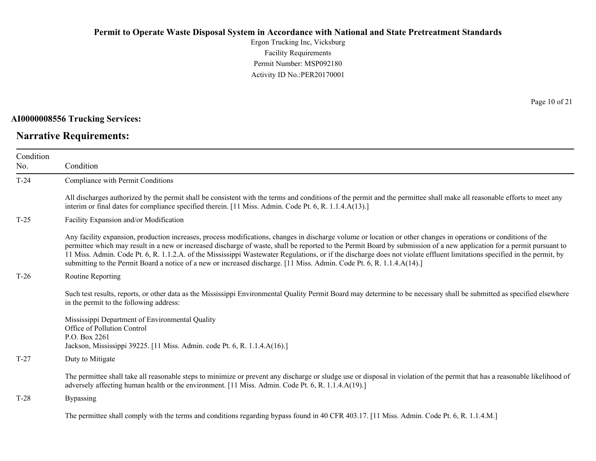Ergon Trucking Inc, Vicksburg Facility Requirements Permit Number: MSP092180 Activity ID No.:PER20170001

#### **AI0000008556 Trucking Services:**

# **Narrative Requirements:**

Page 10 of 21

| Condition<br>No. | Condition                                                                                                                                                                                                                                                                                                                                                                                                                                                                                                                                                                                                                                        |  |  |
|------------------|--------------------------------------------------------------------------------------------------------------------------------------------------------------------------------------------------------------------------------------------------------------------------------------------------------------------------------------------------------------------------------------------------------------------------------------------------------------------------------------------------------------------------------------------------------------------------------------------------------------------------------------------------|--|--|
| $T-24$           | Compliance with Permit Conditions                                                                                                                                                                                                                                                                                                                                                                                                                                                                                                                                                                                                                |  |  |
|                  | All discharges authorized by the permit shall be consistent with the terms and conditions of the permit and the permittee shall make all reasonable efforts to meet any<br>interim or final dates for compliance specified therein. [11 Miss. Admin. Code Pt. 6, R. 1.1.4.A(13).]                                                                                                                                                                                                                                                                                                                                                                |  |  |
| $T-25$           | Facility Expansion and/or Modification                                                                                                                                                                                                                                                                                                                                                                                                                                                                                                                                                                                                           |  |  |
|                  | Any facility expansion, production increases, process modifications, changes in discharge volume or location or other changes in operations or conditions of the<br>permittee which may result in a new or increased discharge of waste, shall be reported to the Permit Board by submission of a new application for a permit pursuant to<br>11 Miss. Admin. Code Pt. 6, R. 1.1.2.A. of the Mississippi Wastewater Regulations, or if the discharge does not violate effluent limitations specified in the permit, by<br>submitting to the Permit Board a notice of a new or increased discharge. [11 Miss. Admin. Code Pt. 6, R. 1.1.4.A(14).] |  |  |
| $T-26$           | Routine Reporting                                                                                                                                                                                                                                                                                                                                                                                                                                                                                                                                                                                                                                |  |  |
|                  | Such test results, reports, or other data as the Mississippi Environmental Quality Permit Board may determine to be necessary shall be submitted as specified elsewhere<br>in the permit to the following address:                                                                                                                                                                                                                                                                                                                                                                                                                               |  |  |
|                  | Mississippi Department of Environmental Quality<br>Office of Pollution Control<br>P.O. Box 2261<br>Jackson, Mississippi 39225. [11 Miss. Admin. code Pt. 6, R. 1.1.4.A(16).]                                                                                                                                                                                                                                                                                                                                                                                                                                                                     |  |  |
| $T-27$           | Duty to Mitigate                                                                                                                                                                                                                                                                                                                                                                                                                                                                                                                                                                                                                                 |  |  |
|                  | The permittee shall take all reasonable steps to minimize or prevent any discharge or sludge use or disposal in violation of the permit that has a reasonable likelihood of<br>adversely affecting human health or the environment. [11 Miss. Admin. Code Pt. 6, R. 1.1.4.A(19).]                                                                                                                                                                                                                                                                                                                                                                |  |  |
| $T-28$           | Bypassing                                                                                                                                                                                                                                                                                                                                                                                                                                                                                                                                                                                                                                        |  |  |
|                  | The permittee shall comply with the terms and conditions regarding bypass found in 40 CFR 403.17. [11 Miss. Admin. Code Pt. 6, R. 1.1.4.M.]                                                                                                                                                                                                                                                                                                                                                                                                                                                                                                      |  |  |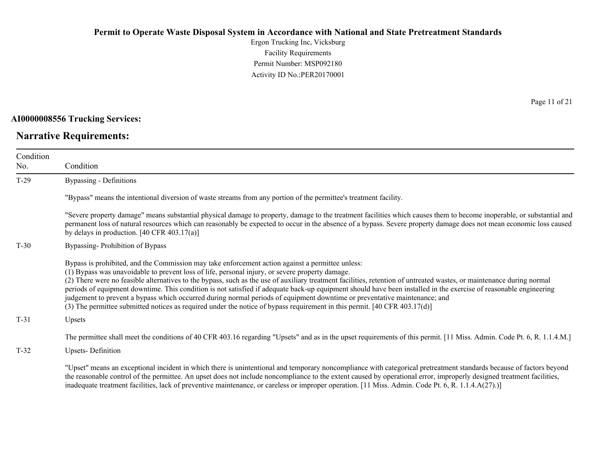Ergon Trucking Inc, Vicksburg Facility Requirements Permit Number: MSP092180 Activity ID No.:PER20170001

**AI0000008556 Trucking Services:**

**Narrative Requirements:**

Page 11 of 21

| Condition<br>No. | Condition                                                                                                                                                                                                                                                                                                                                                                                                                                                                                                                                                                                                                                                                                                                                                                                                   |  |
|------------------|-------------------------------------------------------------------------------------------------------------------------------------------------------------------------------------------------------------------------------------------------------------------------------------------------------------------------------------------------------------------------------------------------------------------------------------------------------------------------------------------------------------------------------------------------------------------------------------------------------------------------------------------------------------------------------------------------------------------------------------------------------------------------------------------------------------|--|
| $T-29$           | <b>Bypassing - Definitions</b>                                                                                                                                                                                                                                                                                                                                                                                                                                                                                                                                                                                                                                                                                                                                                                              |  |
|                  | "Bypass" means the intentional diversion of waste streams from any portion of the permittee's treatment facility.                                                                                                                                                                                                                                                                                                                                                                                                                                                                                                                                                                                                                                                                                           |  |
|                  | "Severe property damage" means substantial physical damage to property, damage to the treatment facilities which causes them to become inoperable, or substantial and<br>permanent loss of natural resources which can reasonably be expected to occur in the absence of a bypass. Severe property damage does not mean economic loss caused<br>by delays in production. $[40 \text{ CFR } 403.17(a)]$                                                                                                                                                                                                                                                                                                                                                                                                      |  |
| $T-30$           | Bypassing-Prohibition of Bypass                                                                                                                                                                                                                                                                                                                                                                                                                                                                                                                                                                                                                                                                                                                                                                             |  |
|                  | Bypass is prohibited, and the Commission may take enforcement action against a permittee unless:<br>(1) Bypass was unavoidable to prevent loss of life, personal injury, or severe property damage.<br>(2) There were no feasible alternatives to the bypass, such as the use of auxiliary treatment facilities, retention of untreated wastes, or maintenance during normal<br>periods of equipment downtime. This condition is not satisfied if adequate back-up equipment should have been installed in the exercise of reasonable engineering<br>judgement to prevent a bypass which occurred during normal periods of equipment downtime or preventative maintenance; and<br>(3) The permittee submitted notices as required under the notice of bypass requirement in this permit. [40 CFR 403.17(d)] |  |
| $T-31$           | Upsets                                                                                                                                                                                                                                                                                                                                                                                                                                                                                                                                                                                                                                                                                                                                                                                                      |  |
|                  | The permittee shall meet the conditions of 40 CFR 403.16 regarding "Upsets" and as in the upset requirements of this permit. [11 Miss. Admin. Code Pt. 6, R. 1.1.4.M.]                                                                                                                                                                                                                                                                                                                                                                                                                                                                                                                                                                                                                                      |  |
| $T-32$           | <b>Upsets-Definition</b>                                                                                                                                                                                                                                                                                                                                                                                                                                                                                                                                                                                                                                                                                                                                                                                    |  |
|                  | "Upset" means an exceptional incident in which there is unintentional and temporary noncompliance with categorical pretreatment standards because of factors beyond<br>the reasonable control of the permittee. An upset does not include noncompliance to the extent caused by operational error, improperly designed treatment facilities,<br>inadequate treatment facilities, lack of preventive maintenance, or careless or improper operation. [11 Miss. Admin. Code Pt. 6, R. 1.1.4.A(27).)]                                                                                                                                                                                                                                                                                                          |  |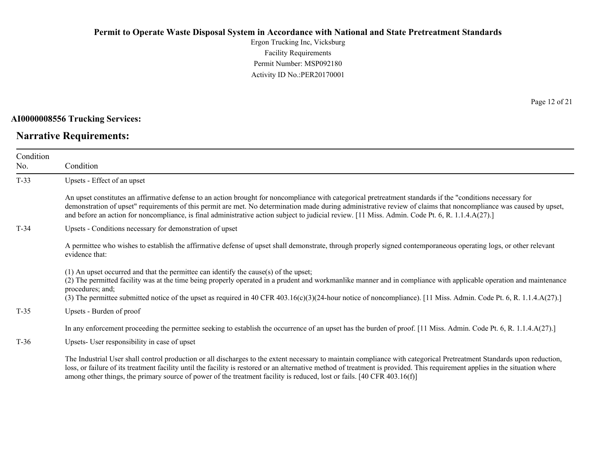Ergon Trucking Inc, Vicksburg Facility Requirements Permit Number: MSP092180 Activity ID No.:PER20170001

#### **AI0000008556 Trucking Services:**

# **Narrative Requirements:**

Page 12 of 21

| Condition<br>No. | Condition                                                                                                                                                                                                                                                                                                                                                                                                                                                                            |  |  |
|------------------|--------------------------------------------------------------------------------------------------------------------------------------------------------------------------------------------------------------------------------------------------------------------------------------------------------------------------------------------------------------------------------------------------------------------------------------------------------------------------------------|--|--|
| $T-33$           | Upsets - Effect of an upset                                                                                                                                                                                                                                                                                                                                                                                                                                                          |  |  |
|                  | An upset constitutes an affirmative defense to an action brought for noncompliance with categorical pretreatment standards if the "conditions necessary for<br>demonstration of upset" requirements of this permit are met. No determination made during administrative review of claims that noncompliance was caused by upset,<br>and before an action for noncompliance, is final administrative action subject to judicial review. [11 Miss. Admin. Code Pt. 6, R. 1.1.4.A(27).] |  |  |
| $T-34$           | Upsets - Conditions necessary for demonstration of upset                                                                                                                                                                                                                                                                                                                                                                                                                             |  |  |
|                  | A permittee who wishes to establish the affirmative defense of upset shall demonstrate, through properly signed contemporaneous operating logs, or other relevant<br>evidence that:                                                                                                                                                                                                                                                                                                  |  |  |
|                  | (1) An upset occurred and that the permittee can identify the cause(s) of the upset;<br>(2) The permitted facility was at the time being properly operated in a prudent and workmanlike manner and in compliance with applicable operation and maintenance<br>procedures; and;<br>(3) The permittee submitted notice of the upset as required in 40 CFR 403.16(c)(3)(24-hour notice of noncompliance). [11 Miss. Admin. Code Pt. 6, R. 1.1.4.A(27).]                                 |  |  |
| $T-35$           | Upsets - Burden of proof                                                                                                                                                                                                                                                                                                                                                                                                                                                             |  |  |
|                  | In any enforcement proceeding the permittee seeking to establish the occurrence of an upset has the burden of proof. [11 Miss. Admin. Code Pt. 6, R. 1.1.4.A(27).]                                                                                                                                                                                                                                                                                                                   |  |  |
| $T-36$           | Upsets- User responsibility in case of upset                                                                                                                                                                                                                                                                                                                                                                                                                                         |  |  |
|                  | The Industrial User shall control production or all discharges to the extent necessary to maintain compliance with categorical Pretreatment Standards upon reduction,<br>loss, or failure of its treatment facility until the facility is restored or an alternative method of treatment is provided. This requirement applies in the situation where<br>among other things, the primary source of power of the treatment facility is reduced, lost or fails. [40 CFR 403.16(f)]     |  |  |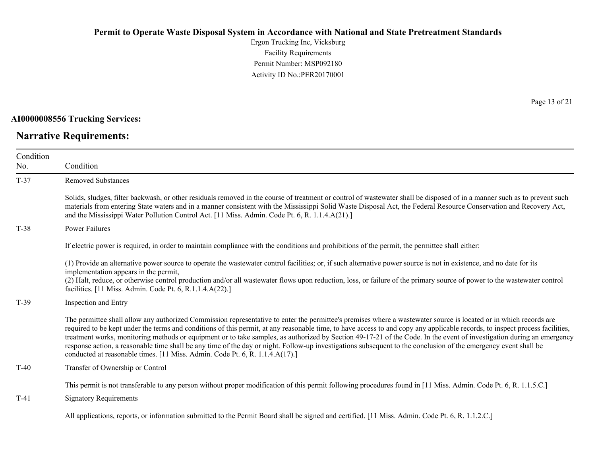Ergon Trucking Inc, Vicksburg Facility Requirements Permit Number: MSP092180 Activity ID No.:PER20170001

**AI0000008556 Trucking Services:**

**Narrative Requirements:**

Page 13 of 21

| Condition<br>No. | Condition                                                                                                                                                                                                                                                                                                                                                                                                                                                                                                                                                                                                                                                                                                                                                                     |
|------------------|-------------------------------------------------------------------------------------------------------------------------------------------------------------------------------------------------------------------------------------------------------------------------------------------------------------------------------------------------------------------------------------------------------------------------------------------------------------------------------------------------------------------------------------------------------------------------------------------------------------------------------------------------------------------------------------------------------------------------------------------------------------------------------|
| $T-37$           | <b>Removed Substances</b>                                                                                                                                                                                                                                                                                                                                                                                                                                                                                                                                                                                                                                                                                                                                                     |
|                  | Solids, sludges, filter backwash, or other residuals removed in the course of treatment or control of wastewater shall be disposed of in a manner such as to prevent such<br>materials from entering State waters and in a manner consistent with the Mississippi Solid Waste Disposal Act, the Federal Resource Conservation and Recovery Act,<br>and the Mississippi Water Pollution Control Act. [11 Miss. Admin. Code Pt. 6, R. 1.1.4.A(21).]                                                                                                                                                                                                                                                                                                                             |
| $T-38$           | Power Failures                                                                                                                                                                                                                                                                                                                                                                                                                                                                                                                                                                                                                                                                                                                                                                |
|                  | If electric power is required, in order to maintain compliance with the conditions and prohibitions of the permit, the permittee shall either:                                                                                                                                                                                                                                                                                                                                                                                                                                                                                                                                                                                                                                |
|                  | (1) Provide an alternative power source to operate the wastewater control facilities; or, if such alternative power source is not in existence, and no date for its<br>implementation appears in the permit,<br>(2) Halt, reduce, or otherwise control production and/or all wastewater flows upon reduction, loss, or failure of the primary source of power to the wastewater control<br>facilities. [11 Miss. Admin. Code Pt. 6, R.1.1.4.A(22).]                                                                                                                                                                                                                                                                                                                           |
| $T-39$           | Inspection and Entry                                                                                                                                                                                                                                                                                                                                                                                                                                                                                                                                                                                                                                                                                                                                                          |
|                  | The permittee shall allow any authorized Commission representative to enter the permittee's premises where a wastewater source is located or in which records are<br>required to be kept under the terms and conditions of this permit, at any reasonable time, to have access to and copy any applicable records, to inspect process facilities,<br>treatment works, monitoring methods or equipment or to take samples, as authorized by Section 49-17-21 of the Code. In the event of investigation during an emergency<br>response action, a reasonable time shall be any time of the day or night. Follow-up investigations subsequent to the conclusion of the emergency event shall be<br>conducted at reasonable times. [11 Miss. Admin. Code Pt. 6, R. 1.1.4.A(17).] |
| $T-40$           | Transfer of Ownership or Control                                                                                                                                                                                                                                                                                                                                                                                                                                                                                                                                                                                                                                                                                                                                              |
|                  | This permit is not transferable to any person without proper modification of this permit following procedures found in [11 Miss. Admin. Code Pt. 6, R. 1.1.5.C.]                                                                                                                                                                                                                                                                                                                                                                                                                                                                                                                                                                                                              |
| $T-41$           | <b>Signatory Requirements</b>                                                                                                                                                                                                                                                                                                                                                                                                                                                                                                                                                                                                                                                                                                                                                 |
|                  |                                                                                                                                                                                                                                                                                                                                                                                                                                                                                                                                                                                                                                                                                                                                                                               |

All applications, reports, or information submitted to the Permit Board shall be signed and certified. [11 Miss. Admin. Code Pt. 6, R. 1.1.2.C.]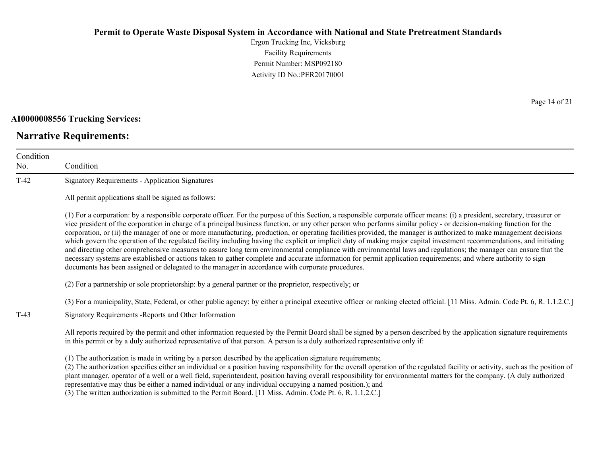Ergon Trucking Inc, Vicksburg Facility Requirements Permit Number: MSP092180 Activity ID No.:PER20170001

#### **AI0000008556 Trucking Services:**

# **Narrative Requirements:**

Page 14 of 21

| Condition<br>No. | Condition                                                                                                                                                                                                                                                                                                                                                                                                                                                                                                                                                                                                                                                                                                                                                                                                                                                                                                                                                                                                                                                                                                                                      |  |  |
|------------------|------------------------------------------------------------------------------------------------------------------------------------------------------------------------------------------------------------------------------------------------------------------------------------------------------------------------------------------------------------------------------------------------------------------------------------------------------------------------------------------------------------------------------------------------------------------------------------------------------------------------------------------------------------------------------------------------------------------------------------------------------------------------------------------------------------------------------------------------------------------------------------------------------------------------------------------------------------------------------------------------------------------------------------------------------------------------------------------------------------------------------------------------|--|--|
| $T-42$           | <b>Signatory Requirements - Application Signatures</b>                                                                                                                                                                                                                                                                                                                                                                                                                                                                                                                                                                                                                                                                                                                                                                                                                                                                                                                                                                                                                                                                                         |  |  |
|                  | All permit applications shall be signed as follows:                                                                                                                                                                                                                                                                                                                                                                                                                                                                                                                                                                                                                                                                                                                                                                                                                                                                                                                                                                                                                                                                                            |  |  |
|                  | (1) For a corporation: by a responsible corporate officer. For the purpose of this Section, a responsible corporate officer means: (i) a president, secretary, treasurer or<br>vice president of the corporation in charge of a principal business function, or any other person who performs similar policy - or decision-making function for the<br>corporation, or (ii) the manager of one or more manufacturing, production, or operating facilities provided, the manager is authorized to make management decisions<br>which govern the operation of the regulated facility including having the explicit or implicit duty of making major capital investment recommendations, and initiating<br>and directing other comprehensive measures to assure long term environmental compliance with environmental laws and regulations; the manager can ensure that the<br>necessary systems are established or actions taken to gather complete and accurate information for permit application requirements; and where authority to sign<br>documents has been assigned or delegated to the manager in accordance with corporate procedures. |  |  |
|                  | (2) For a partnership or sole proprietorship: by a general partner or the proprietor, respectively; or                                                                                                                                                                                                                                                                                                                                                                                                                                                                                                                                                                                                                                                                                                                                                                                                                                                                                                                                                                                                                                         |  |  |
| $T-43$           | (3) For a municipality, State, Federal, or other public agency: by either a principal executive officer or ranking elected official. [11 Miss. Admin. Code Pt. 6, R. 1.1.2.C.]<br>Signatory Requirements - Reports and Other Information                                                                                                                                                                                                                                                                                                                                                                                                                                                                                                                                                                                                                                                                                                                                                                                                                                                                                                       |  |  |
|                  | All reports required by the permit and other information requested by the Permit Board shall be signed by a person described by the application signature requirements<br>in this permit or by a duly authorized representative of that person. A person is a duly authorized representative only if:                                                                                                                                                                                                                                                                                                                                                                                                                                                                                                                                                                                                                                                                                                                                                                                                                                          |  |  |
|                  | (1) The authorization is made in writing by a person described by the application signature requirements;<br>(2) The authorization specifies either an individual or a position having responsibility for the overall operation of the regulated facility or activity, such as the position of<br>plant manager, operator of a well or a well field, superintendent, position having overall responsibility for environmental matters for the company. (A duly authorized<br>representative may thus be either a named individual or any individual occupying a named position.); and                                                                                                                                                                                                                                                                                                                                                                                                                                                                                                                                                          |  |  |

(3) The written authorization is submitted to the Permit Board. [11 Miss. Admin. Code Pt. 6, R. 1.1.2.C.]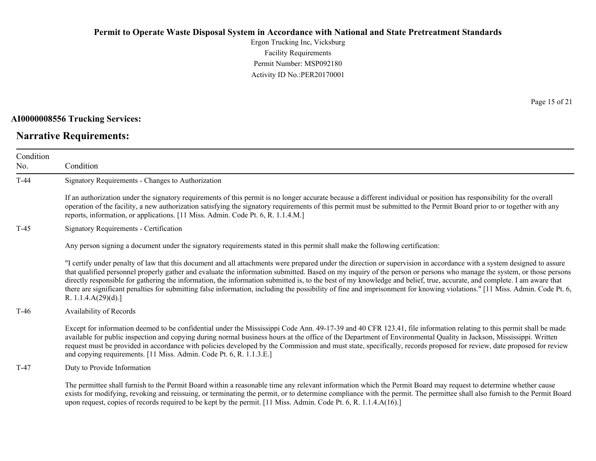Ergon Trucking Inc, Vicksburg Facility Requirements Permit Number: MSP092180 Activity ID No.:PER20170001

#### **AI0000008556 Trucking Services:**

# **Narrative Requirements:**

Page 15 of 21

| Condition<br>No. | Condition                                                                                                                                                                                                                                                                                                                                                                                                                                                                                                                                                                                                                                                                                                                           |  |  |  |
|------------------|-------------------------------------------------------------------------------------------------------------------------------------------------------------------------------------------------------------------------------------------------------------------------------------------------------------------------------------------------------------------------------------------------------------------------------------------------------------------------------------------------------------------------------------------------------------------------------------------------------------------------------------------------------------------------------------------------------------------------------------|--|--|--|
| $T-44$           | Signatory Requirements - Changes to Authorization                                                                                                                                                                                                                                                                                                                                                                                                                                                                                                                                                                                                                                                                                   |  |  |  |
|                  | If an authorization under the signatory requirements of this permit is no longer accurate because a different individual or position has responsibility for the overall<br>operation of the facility, a new authorization satisfying the signatory requirements of this permit must be submitted to the Permit Board prior to or together with any<br>reports, information, or applications. [11 Miss. Admin. Code Pt. 6, R. 1.1.4.M.]                                                                                                                                                                                                                                                                                              |  |  |  |
| $T-45$           | Signatory Requirements - Certification                                                                                                                                                                                                                                                                                                                                                                                                                                                                                                                                                                                                                                                                                              |  |  |  |
|                  | Any person signing a document under the signatory requirements stated in this permit shall make the following certification:                                                                                                                                                                                                                                                                                                                                                                                                                                                                                                                                                                                                        |  |  |  |
|                  | "I certify under penalty of law that this document and all attachments were prepared under the direction or supervision in accordance with a system designed to assure<br>that qualified personnel properly gather and evaluate the information submitted. Based on my inquiry of the person or persons who manage the system, or those persons<br>directly responsible for gathering the information, the information submitted is, to the best of my knowledge and belief, true, accurate, and complete. I am aware that<br>there are significant penalties for submitting false information, including the possibility of fine and imprisonment for knowing violations." [11 Miss. Admin. Code Pt. 6,<br>R. 1.1.4. $A(29)(d)$ .] |  |  |  |
| $T-46$           | Availability of Records                                                                                                                                                                                                                                                                                                                                                                                                                                                                                                                                                                                                                                                                                                             |  |  |  |
|                  | Except for information deemed to be confidential under the Mississippi Code Ann. 49-17-39 and 40 CFR 123.41, file information relating to this permit shall be made<br>available for public inspection and copying during normal business hours at the office of the Department of Environmental Quality in Jackson, Mississippi. Written<br>request must be provided in accordance with policies developed by the Commission and must state, specifically, records proposed for review, date proposed for review<br>and copying requirements. [11 Miss. Admin. Code Pt. 6, R. 1.1.3.E.]                                                                                                                                            |  |  |  |
| $T-47$           | Duty to Provide Information                                                                                                                                                                                                                                                                                                                                                                                                                                                                                                                                                                                                                                                                                                         |  |  |  |
|                  | The permittee shall furnish to the Permit Board within a reasonable time any relevant information which the Permit Board may request to determine whether cause<br>exists for modifying, revoking and reissuing, or terminating the permit, or to determine compliance with the permit. The permittee shall also furnish to the Permit Board<br>upon request, copies of records required to be kept by the permit. [11 Miss. Admin. Code Pt. 6, R. 1.1.4.A(16).]                                                                                                                                                                                                                                                                    |  |  |  |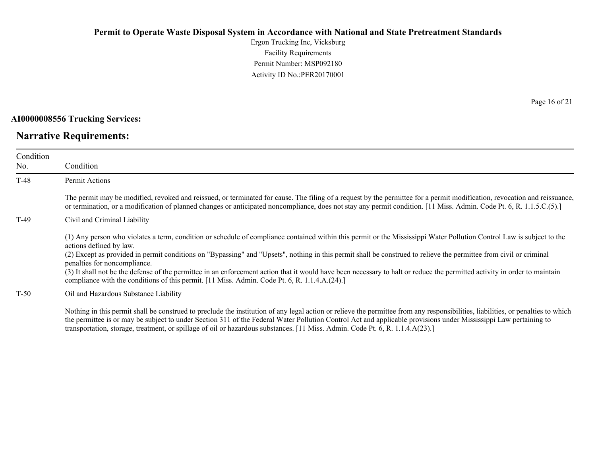Ergon Trucking Inc, Vicksburg Facility Requirements Permit Number: MSP092180 Activity ID No.:PER20170001

**AI0000008556 Trucking Services:**

### **Narrative Requirements:**

T-48 Permit Actions

Condition No.

The permit may be modified, revoked and reissued, or terminated for cause. The filing of a request by the permittee for a permit modification, revocation and reissuance, or termination, or a modification of planned changes or anticipated noncompliance, does not stay any permit condition. [11 Miss. Admin. Code Pt. 6, R. 1.1.5.C.(5).]

T-49 Civil and Criminal Liability

Condition

(1) Any person who violates a term, condition or schedule of compliance contained within this permit or the Mississippi Water Pollution Control Law is subject to the actions defined by law.

(2) Except as provided in permit conditions on "Bypassing" and "Upsets", nothing in this permit shall be construed to relieve the permittee from civil or criminal penalties for noncompliance.

(3) It shall not be the defense of the permittee in an enforcement action that it would have been necessary to halt or reduce the permitted activity in order to maintain compliance with the conditions of this permit. [11 Miss. Admin. Code Pt. 6, R. 1.1.4.A.(24).]

T-50 Oil and Hazardous Substance Liability

Nothing in this permit shall be construed to preclude the institution of any legal action or relieve the permittee from any responsibilities, liabilities, or penalties to which the permittee is or may be subject to under Section 311 of the Federal Water Pollution Control Act and applicable provisions under Mississippi Law pertaining to transportation, storage, treatment, or spillage of oil or hazardous substances. [11 Miss. Admin. Code Pt. 6, R. 1.1.4.A(23).]

Page 16 of 21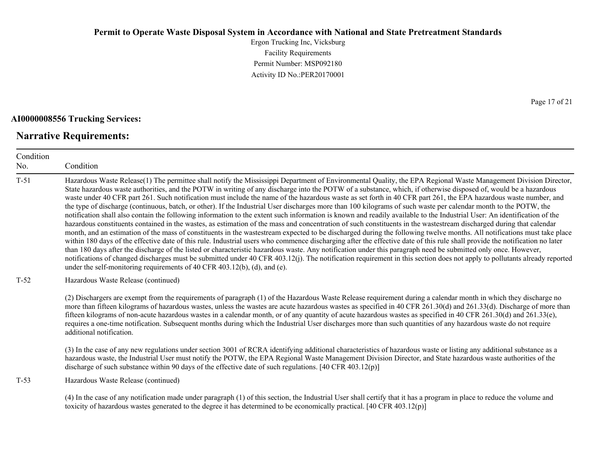Ergon Trucking Inc, Vicksburg Facility Requirements Permit Number: MSP092180 Activity ID No.:PER20170001

#### **AI0000008556 Trucking Services:**

### **Narrative Requirements:**

Condition No. Condition T-51 Hazardous Waste Release(1) The permittee shall notify the Mississippi Department of Environmental Quality, the EPA Regional Waste Management Division Director, State hazardous waste authorities, and the POTW in writing of any discharge into the POTW of a substance, which, if otherwise disposed of, would be a hazardous waste under 40 CFR part 261. Such notification must include the name of the hazardous waste as set forth in 40 CFR part 261, the EPA hazardous waste number, and the type of discharge (continuous, batch, or other). If the Industrial User discharges more than 100 kilograms of such waste per calendar month to the POTW, the notification shall also contain the following information to the extent such information is known and readily available to the Industrial User: An identification of the hazardous constituents contained in the wastes, as estimation of the mass and concentration of such constituents in the wastestream discharged during that calendar month, and an estimation of the mass of constituents in the wastestream expected to be discharged during the following twelve months. All notifications must take place within 180 days of the effective date of this rule. Industrial users who commence discharging after the effective date of this rule shall provide the notification no later than 180 days after the discharge of the listed or characteristic hazardous waste. Any notification under this paragraph need be submitted only once. However, notifications of changed discharges must be submitted under 40 CFR 403.12(j). The notification requirement in this section does not apply to pollutants already reported under the self-monitoring requirements of 40 CFR 403.12(b), (d), and (e). T-52 Hazardous Waste Release (continued) (2) Dischargers are exempt from the requirements of paragraph (1) of the Hazardous Waste Release requirement during a calendar month in which they discharge no more than fifteen kilograms of hazardous wastes, unless the wastes are acute hazardous wastes as specified in 40 CFR 261.30(d) and 261.33(d). Discharge of more than fifteen kilograms of non-acute hazardous wastes in a calendar month, or of any quantity of acute hazardous wastes as specified in 40 CFR 261.30(d) and 261.33(e), requires a one-time notification. Subsequent months during which the Industrial User discharges more than such quantities of any hazardous waste do not require additional notification. (3) In the case of any new regulations under section 3001 of RCRA identifying additional characteristics of hazardous waste or listing any additional substance as a hazardous waste, the Industrial User must notify the POTW, the EPA Regional Waste Management Division Director, and State hazardous waste authorities of the discharge of such substance within 90 days of the effective date of such regulations. [40 CFR 403.12(p)] T-53 Hazardous Waste Release (continued)

(4) In the case of any notification made under paragraph (1) of this section, the Industrial User shall certify that it has a program in place to reduce the volume and toxicity of hazardous wastes generated to the degree it has determined to be economically practical. [40 CFR 403.12(p)]

Page 17 of 21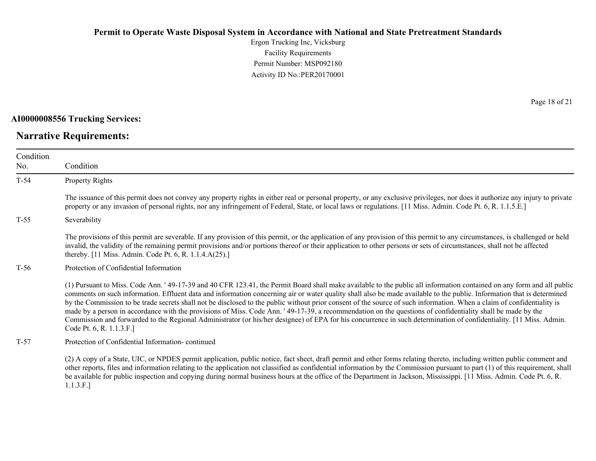Ergon Trucking Inc, Vicksburg Facility Requirements Permit Number: MSP092180 Activity ID No.:PER20170001

**AI0000008556 Trucking Services:**

# **Narrative Requirements:**

Page 18 of 21

| Condition<br>No. | Condition                                                                                                                                                                                                                                                                                                                                                                                                                                                                                                                                                                                                                                                                                                                                                                                                                                                                                  |  |
|------------------|--------------------------------------------------------------------------------------------------------------------------------------------------------------------------------------------------------------------------------------------------------------------------------------------------------------------------------------------------------------------------------------------------------------------------------------------------------------------------------------------------------------------------------------------------------------------------------------------------------------------------------------------------------------------------------------------------------------------------------------------------------------------------------------------------------------------------------------------------------------------------------------------|--|
| $T-54$           | Property Rights                                                                                                                                                                                                                                                                                                                                                                                                                                                                                                                                                                                                                                                                                                                                                                                                                                                                            |  |
|                  | The issuance of this permit does not convey any property rights in either real or personal property, or any exclusive privileges, nor does it authorize any injury to private<br>property or any invasion of personal rights, nor any infringement of Federal, State, or local laws or regulations. [11 Miss. Admin. Code Pt. 6, R. 1.1.5.E.]                                                                                                                                                                                                                                                                                                                                                                                                                                                                                                                                              |  |
| $T-55$           | Severability                                                                                                                                                                                                                                                                                                                                                                                                                                                                                                                                                                                                                                                                                                                                                                                                                                                                               |  |
|                  | The provisions of this permit are severable. If any provision of this permit, or the application of any provision of this permit to any circumstances, is challenged or held<br>invalid, the validity of the remaining permit provisions and/or portions thereof or their application to other persons or sets of circumstances, shall not be affected<br>thereby. [11 Miss. Admin. Code Pt. 6, R. 1.1.4.A(25).]                                                                                                                                                                                                                                                                                                                                                                                                                                                                           |  |
| $T-56$           | Protection of Confidential Information                                                                                                                                                                                                                                                                                                                                                                                                                                                                                                                                                                                                                                                                                                                                                                                                                                                     |  |
|                  | (1) Pursuant to Miss. Code Ann. '49-17-39 and 40 CFR 123.41, the Permit Board shall make available to the public all information contained on any form and all public<br>comments on such information. Effluent data and information concerning air or water quality shall also be made available to the public. Information that is determined<br>by the Commission to be trade secrets shall not be disclosed to the public without prior consent of the source of such information. When a claim of confidentiality is<br>made by a person in accordance with the provisions of Miss. Code Ann. '49-17-39, a recommendation on the questions of confidentiality shall be made by the<br>Commission and forwarded to the Regional Administrator (or his/her designee) of EPA for his concurrence in such determination of confidentiality. [11 Miss. Admin.]<br>Code Pt. 6, R. 1.1.3.F.] |  |
| $T-57$           | Protection of Confidential Information-continued                                                                                                                                                                                                                                                                                                                                                                                                                                                                                                                                                                                                                                                                                                                                                                                                                                           |  |
|                  | (2) A copy of a State, UIC, or NPDES permit application, public notice, fact sheet, draft permit and other forms relating thereto, including written public comment and<br>other reports, files and information relating to the application not classified as confidential information by the Commission pursuant to part (1) of this requirement, shall<br>be available for public inspection and copying during normal business hours at the office of the Department in Jackson, Mississippi. [11 Miss. Admin. Code Pt. 6, R.                                                                                                                                                                                                                                                                                                                                                           |  |

1.1.3.F.]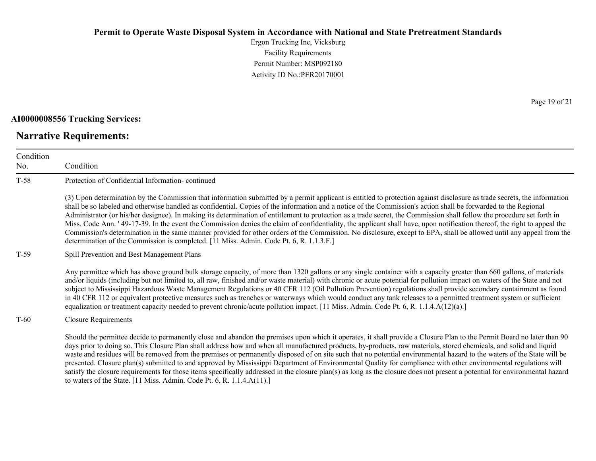Ergon Trucking Inc, Vicksburg Facility Requirements Permit Number: MSP092180 Activity ID No.:PER20170001

#### **AI0000008556 Trucking Services:**

# **Narrative Requirements:**

Page 19 of 21

| Condition<br>No. | Condition                                                                                                                                                                                                                                                                                                                                                                                                                                                                                                                                                                                                                                                                                                                                                                                                                                                                                                                                                            |  |
|------------------|----------------------------------------------------------------------------------------------------------------------------------------------------------------------------------------------------------------------------------------------------------------------------------------------------------------------------------------------------------------------------------------------------------------------------------------------------------------------------------------------------------------------------------------------------------------------------------------------------------------------------------------------------------------------------------------------------------------------------------------------------------------------------------------------------------------------------------------------------------------------------------------------------------------------------------------------------------------------|--|
| $T-58$           | Protection of Confidential Information-continued                                                                                                                                                                                                                                                                                                                                                                                                                                                                                                                                                                                                                                                                                                                                                                                                                                                                                                                     |  |
|                  | (3) Upon determination by the Commission that information submitted by a permit applicant is entitled to protection against disclosure as trade secrets, the information<br>shall be so labeled and otherwise handled as confidential. Copies of the information and a notice of the Commission's action shall be forwarded to the Regional<br>Administrator (or his/her designee). In making its determination of entitlement to protection as a trade secret, the Commission shall follow the procedure set forth in<br>Miss. Code Ann. '49-17-39. In the event the Commission denies the claim of confidentiality, the applicant shall have, upon notification thereof, the right to appeal the<br>Commission's determination in the same manner provided for other orders of the Commission. No disclosure, except to EPA, shall be allowed until any appeal from the<br>determination of the Commission is completed. [11 Miss. Admin. Code Pt. 6, R. 1.1.3.F.] |  |
| T-59             | Spill Prevention and Best Management Plans                                                                                                                                                                                                                                                                                                                                                                                                                                                                                                                                                                                                                                                                                                                                                                                                                                                                                                                           |  |
|                  | Any permittee which has above ground bulk storage capacity, of more than 1320 gallons or any single container with a capacity greater than 660 gallons, of materials<br>and/or liquids (including but not limited to, all raw, finished and/or waste material) with chronic or acute potential for pollution impact on waters of the State and not<br>subject to Mississippi Hazardous Waste Management Regulations or 40 CFR 112 (Oil Pollution Prevention) regulations shall provide secondary containment as found<br>in 40 CFR 112 or equivalent protective measures such as trenches or waterways which would conduct any tank releases to a permitted treatment system or sufficient<br>equalization or treatment capacity needed to prevent chronic/acute pollution impact. [11 Miss. Admin. Code Pt. 6, R. 1.1.4.A(12)(a).]                                                                                                                                  |  |
| $T-60$           | <b>Closure Requirements</b>                                                                                                                                                                                                                                                                                                                                                                                                                                                                                                                                                                                                                                                                                                                                                                                                                                                                                                                                          |  |
|                  | Should the permittee decide to permanently close and abandon the premises upon which it operates, it shall provide a Closure Plan to the Permit Board no later than 90<br>days prior to doing so. This Closure Plan shall address how and when all manufactured products, by-products, raw materials, stored chemicals, and solid and liquid<br>waste and residues will be removed from the premises or permanently disposed of on site such that no potential environmental hazard to the waters of the State will be<br>presented. Closure plan(s) submitted to and approved by Mississippi Department of Environmental Quality for compliance with other environmental regulations will<br>satisfy the closure requirements for those items specifically addressed in the closure plan(s) as long as the closure does not present a potential for environmental hazard<br>to waters of the State. [11 Miss. Admin. Code Pt. 6, R. 1.1.4. $A(11)$ .]               |  |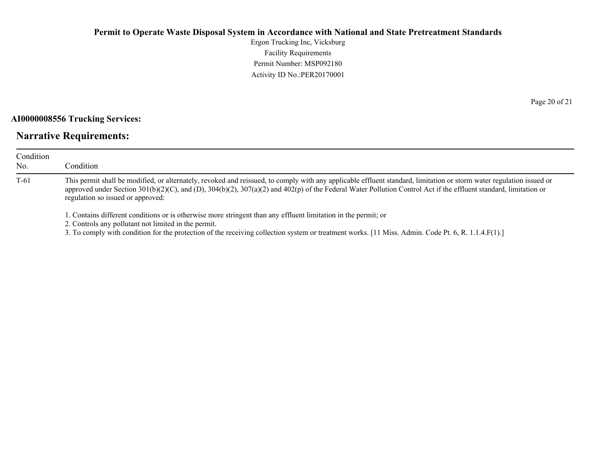Ergon Trucking Inc, Vicksburg Facility Requirements Permit Number: MSP092180 Activity ID No.:PER20170001

#### **AI0000008556 Trucking Services:**

# **Narrative Requirements:**

| Condition<br>No. | Condition                                                                                                                                                                                                                                                                                                                                                                     |
|------------------|-------------------------------------------------------------------------------------------------------------------------------------------------------------------------------------------------------------------------------------------------------------------------------------------------------------------------------------------------------------------------------|
| T-61             | This permit shall be modified, or alternately, revoked and reissued, to comply with any applicable effluent standard, limitation or storm water regulation issued or<br>approved under Section 301(b)(2)(C), and (D), 304(b)(2), 307(a)(2) and 402(p) of the Federal Water Pollution Control Act if the effluent standard, limitation or<br>regulation so issued or approved: |
|                  | 1. Contains different conditions or is otherwise more stringent than any effluent limitation in the permit; or                                                                                                                                                                                                                                                                |

2. Controls any pollutant not limited in the permit.

3. To comply with condition for the protection of the receiving collection system or treatment works. [11 Miss. Admin. Code Pt. 6, R. 1.1.4.F(1).]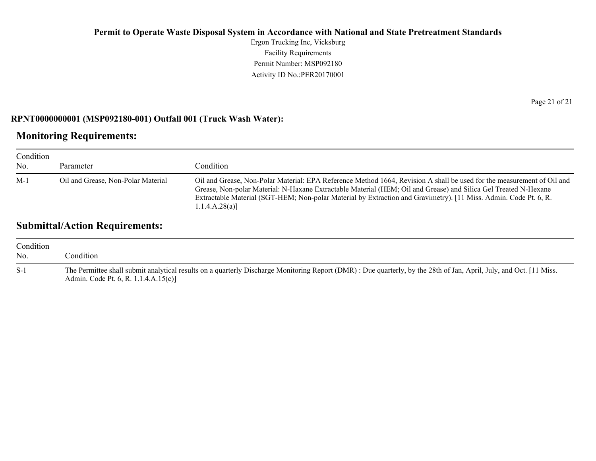Ergon Trucking Inc, Vicksburg Facility Requirements Permit Number: MSP092180 Activity ID No.:PER20170001

#### **RPNT0000000001 (MSP092180-001) Outfall 001 (Truck Wash Water):**

# **Monitoring Requirements:**

| Condition<br>No. | Parameter                          | Condition                                                                                                                                                                                                                                                                                                                                                                      |
|------------------|------------------------------------|--------------------------------------------------------------------------------------------------------------------------------------------------------------------------------------------------------------------------------------------------------------------------------------------------------------------------------------------------------------------------------|
| $M-1$            | Oil and Grease, Non-Polar Material | Oil and Grease, Non-Polar Material: EPA Reference Method 1664, Revision A shall be used for the measurement of Oil and<br>Grease, Non-polar Material: N-Haxane Extractable Material (HEM; Oil and Grease) and Silica Gel Treated N-Hexane<br>Extractable Material (SGT-HEM; Non-polar Material by Extraction and Gravimetry). [11 Miss. Admin. Code Pt. 6, R.<br>1.1.4.A.28(a) |

# **Submittal/Action Requirements:**

| Condition<br>No. | condition.                                                                                                                                                                                                  |
|------------------|-------------------------------------------------------------------------------------------------------------------------------------------------------------------------------------------------------------|
| $S-1$            | The Permittee shall submit analytical results on a quarterly Discharge Monitoring Report (DMR): Due quarterly, by the 28th of Jan, April, July, and Oct. [11 Miss.]<br>Admin. Code Pt. 6, R. 1.1.4.A.15(c)] |

Page 21 of 21